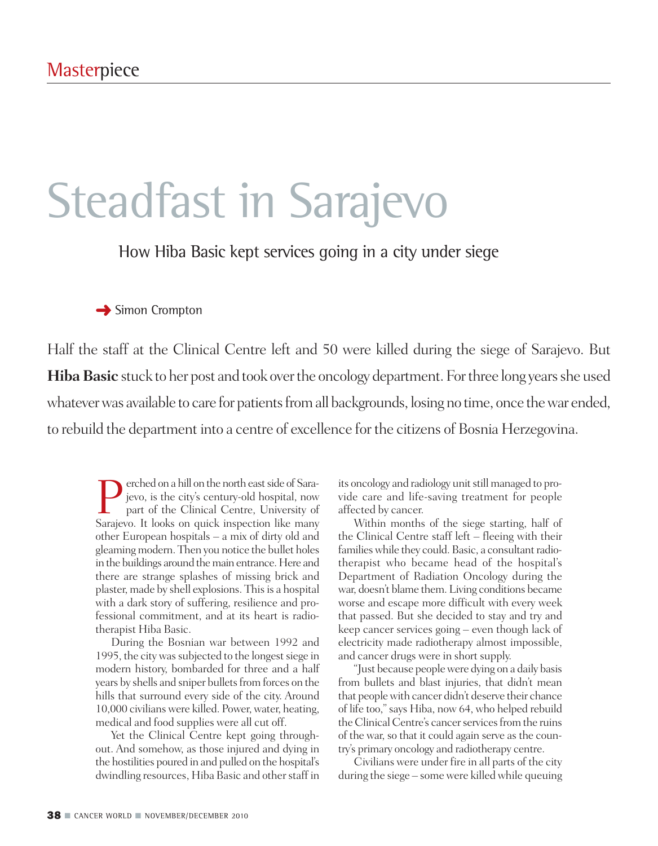# Steadfast in Sarajevo

How Hiba Basic kept services going in a city under siege

### **→** Simon Crompton

Half the staff at the Clinical Centre left and 50 were killed during the siege of Sarajevo. But **Hiba Basic** stuck to her post and took over the oncology department. For three long years she used whatever was available to care for patients from all backgrounds, losing no time, once the war ended, to rebuild the department into a centre of excellence for the citizens of Bosnia Herzegovina.

**Perched on a hill on the north east side of Sara-**<br>jevo, is the city's century-old hospital, now<br>part of the Clinical Centre, University of<br>Sarajevo, It looks on quick inspection like many jevo, is the city's century-old hospital, now part of the Clinical Centre, University of Sarajevo. It looks on quick inspection like many other European hospitals – a mix of dirty old and gleamingmodern. Then you notice the bullet holes in the buildings around the main entrance. Here and there are strange splashes of missing brick and plaster, made by shell explosions. Thisis a hospital with a dark story of suffering, resilience and professional commitment, and at its heart is radiotherapist Hiba Basic.

During the Bosnian war between 1992 and 1995, the city was subjected to the longest siege in modern history, bombarded for three and a half years by shells and sniper bullets from forces on the hills that surround every side of the city. Around 10,000 civilians were killed. Power, water, heating, medical and food supplies were all cut off.

Yet the Clinical Centre kept going throughout. And somehow, as those injured and dying in the hostilities poured in and pulled on the hospital's dwindling resources, Hiba Basic and other staff in its oncology and radiology unit still managed to provide care and life-saving treatment for people affected by cancer.

Within months of the siege starting, half of the Clinical Centre staff left – fleeing with their families while they could. Basic, a consultant radiotherapist who became head of the hospital's Department of Radiation Oncology during the war, doesn't blame them. Living conditions became worse and escape more difficult with every week that passed. But she decided to stay and try and keep cancer services going – even though lack of electricity made radiotherapy almost impossible, and cancer drugs were in short supply.

"Just because peoplewere dying on a daily basis from bullets and blast injuries, that didn't mean that peoplewith cancer didn't deserve their chance of life too,"says Hiba, now 64, who helped rebuild the Clinical Centre's cancer services from the ruins of the war, so that it could again serve as the country's primary oncology and radiotherapy centre.

Civilians were under fire in all parts of the city during the siege – some were killedwhile queuing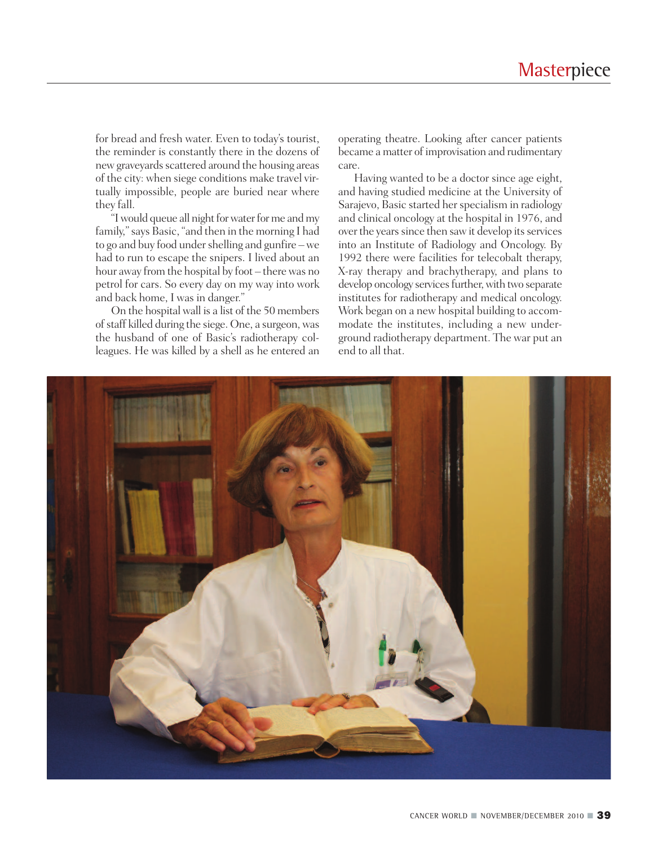for bread and fresh water. Even to today's tourist, the reminder is constantly there in the dozens of new graveyards scattered around the housing areas of the city: when siege conditions make travel virtually impossible, people are buried near where they fall.

"I would queue all night for water for me and my family,"says Basic, "and then in the morning I had to go and buy food under shelling and gunfire – we had to run to escape the snipers. I lived about an hour away from the hospital by foot – there was no petrol for cars. So every day on my way into work and back home, I was in danger."

On the hospital wall is a list of the 50 members of staff killed during the siege. One, a surgeon, was the husband of one of Basic's radiotherapy colleagues. He was killed by a shell as he entered an operating theatre. Looking after cancer patients became a matter of improvisation and rudimentary care.

Having wanted to be a doctor since age eight, and having studied medicine at the University of Sarajevo, Basic started her specialism in radiology and clinical oncology at the hospital in 1976, and over the years since then saw it develop its services into an Institute of Radiology and Oncology. By 1992 there were facilities for telecobalt therapy, X-ray therapy and brachytherapy, and plans to develop oncology services further, with two separate institutes for radiotherapy and medical oncology. Work began on a new hospital building to accommodate the institutes, including a new underground radiotherapy department. The war put an end to all that.

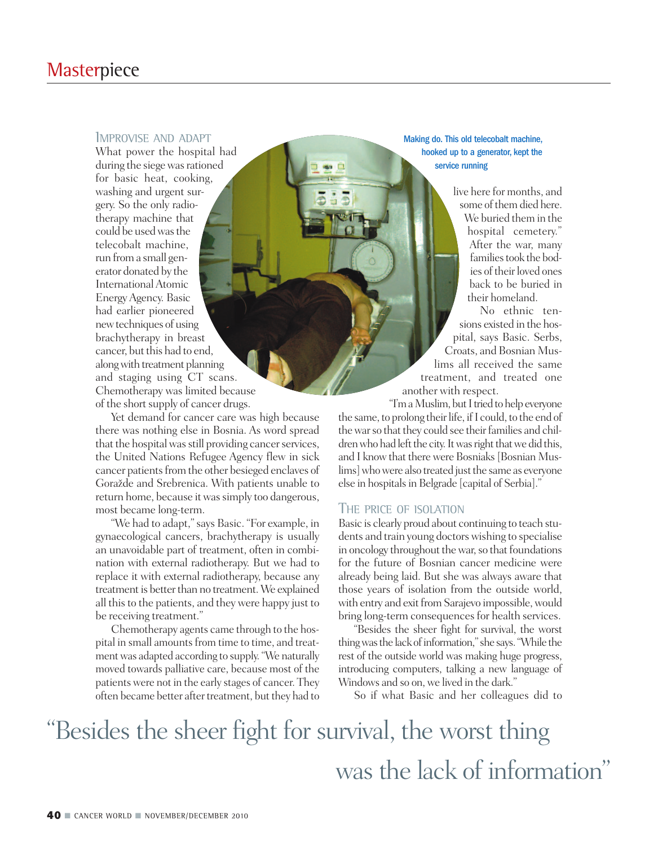### **Masterpiece**

#### IMPROVISE AND ADAPT

What power the hospital had during the siege was rationed for basic heat, cooking, washing and urgent surgery. So the only radiotherapy machine that could be usedwasthe telecobalt machine, run froma small generator donated by the InternationalAtomic EnergyAgency. Basic had earlier pioneered newtechniques of using brachytherapy in breast cancer, but this had to end, alongwith treatment planning and staging using CT scans. Chemotherapy was limited because of the short supply of cancer drugs.

Yet demand for cancer care was high because there was nothing else in Bosnia. As word spread that the hospital was still providing cancer services, the United Nations Refugee Agency flew in sick cancer patients from the other besieged enclaves of Goražde and Srebrenica. With patients unable to return home, because it was simply too dangerous, most became long-term.

"We had to adapt,"says Basic. "For example, in gynaecological cancers, brachytherapy is usually an unavoidable part of treatment, often in combination with external radiotherapy. But we had to replace it with external radiotherapy, because any treatment is better than no treatment. We explained all thisto the patients, and they were happy just to be receiving treatment."

Chemotherapy agents came through to the hospital in small amounts from time to time, and treatment was adapted according to supply. "We naturally moved towards palliative care, because most of the patients were not in the early stages of cancer. They often became better after treatment, but they had to Making do. This old telecobalt machine, hooked up to a generator, kept the service running

> live here for months, and some of them died here. We buried them in the hospital cemetery." After the war, many families took the bodies of their loved ones back to be buried in their homeland.

No ethnic tensions existed in the hospital, says Basic. Serbs, Croats, and Bosnian Muslims all received the same treatment, and treated one another with respect.

"I'm a Muslim, but I tried to help everyone the same, to prolong their life, if I could, to the end of the war so that they could see their families and children who had left the city. It was right that we did this, and I know that there were Bosniaks[Bosnian Muslims] who were also treated just the same as everyone else in hospitalsin Belgrade [capital of Serbia]."

#### THE PRICE OF ISOLATION

Basic is clearly proud about continuing to teach students and train young doctors wishing to specialise in oncology throughout the war, so that foundations for the future of Bosnian cancer medicine were already being laid. But she was always aware that those years of isolation from the outside world, with entry and exit from Sarajevo impossible, would bring long-term consequences for health services.

"Besides the sheer fight for survival, the worst thing was the lack of information," she says. "While the rest of the outside world was making huge progress, introducing computers, talking a new language of Windows and so on, we lived in the dark."

So if what Basic and her colleagues did to

## "Besides the sheer fight for survival, the worst thing was the lack of information"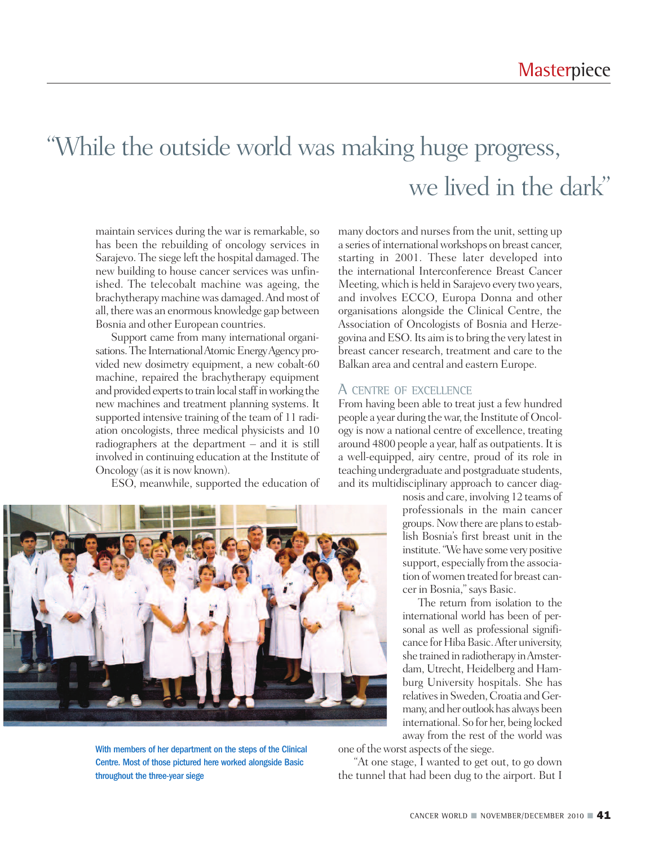### "While the outside world was making huge progress, we lived in the dark"

maintain services during the war is remarkable, so has been the rebuilding of oncology services in Sarajevo. The siege left the hospital damaged. The new building to house cancer services was unfinished. The telecobalt machine was ageing, the brachytherapy machine was damaged. And most of all, there was an enormous knowledge gap between Bosnia and other European countries.

Support came from many international organisations. The International Atomic Energy Agency provided new dosimetry equipment, a new cobalt-60 machine, repaired the brachytherapy equipment and provided experts to train local staff in working the new machines and treatment planning systems. It supported intensive training of the team of 11 radiation oncologists, three medical physicists and 10 radiographers at the department – and it is still involved in continuing education at the Institute of Oncology (as it is now known).

ESO, meanwhile, supported the education of

many doctors and nurses from the unit, setting up a series of international workshops on breast cancer, starting in 2001. These later developed into the international Interconference Breast Cancer Meeting,which is held in Sarajevo every two years, and involves ECCO, Europa Donna and other organisations alongside the Clinical Centre, the Association of Oncologists of Bosnia and Herzegovina andESO.Its aimisto bring the very latestin breast cancer research, treatment and care to the Balkan area and central and eastern Europe.

#### A CENTRE OF EXCELLENCE

From having been able to treat just a few hundred people a year during the war, the Institute of Oncology is now a national centre of excellence, treating around 4800 people a year, half as outpatients.It is a well-equipped, airy centre, proud of its role in teaching undergraduate and postgraduate students, and its multidisciplinary approach to cancer diag-

nosis and care, involving 12 teams of professionals in the main cancer groups. Now there are plans to establish Bosnia's first breast unit in the institute."We have some very positive support, especially from the association of women treated for breast cancer in Bosnia,"says Basic.

The return from isolation to the international world has been of personal as well as professional significance for Hiba Basic. After university, she trained in radiotherapy inAmsterdam, Utrecht, Heidelberg and Hamburg University hospitals. She has relatives in Sweden, Croatia and Germany, and her outlook has always been international. So for her, being locked away from the rest of the world was



one of theworst aspects of the siege.

"At one stage, I wanted to get out, to go down the tunnel that had been dug to the airport. But I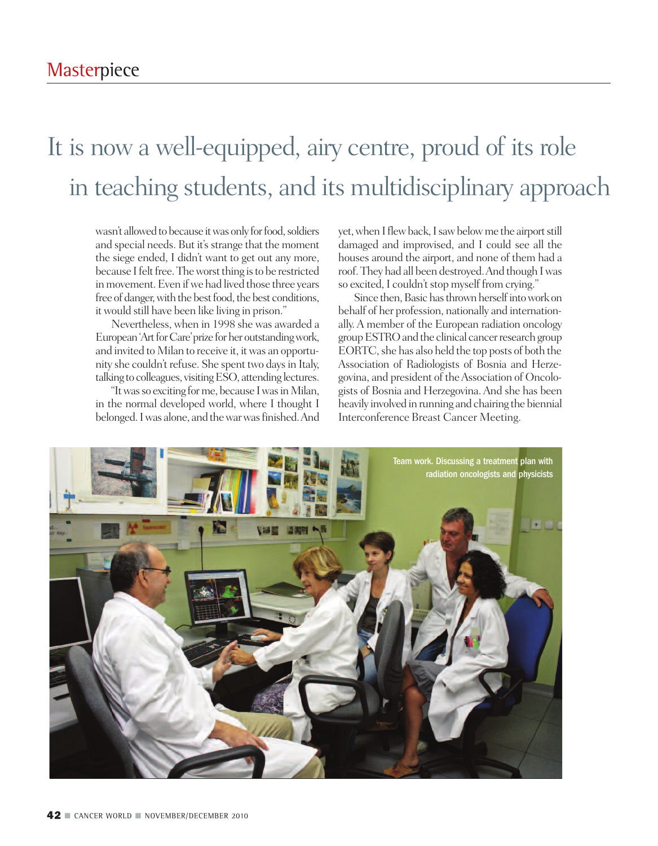### It is now a well-equipped, airy centre, proud of its role in teaching students, and its multidisciplinary approach

wasn't allowed to because it was only for food, soldiers and special needs. But it's strange that the moment the siege ended, I didn't want to get out any more, because I felt free. The worst thing is to be restricted in movement. Even if we had lived those three years free of danger, with the best food, the best conditions, itwould still have been like living in prison."

Nevertheless, when in 1998 she was awarded a European 'Art for Care' prize for her outstanding work, and invited to Milan to receive it, it was an opportunity she couldn't refuse. She spent two daysin Italy, talking to colleagues, visitingESO, attending lectures.

"Itwasso exciting forme, because IwasinMilan, in the normal developed world, where I thought I belonged.Iwas alone, and thewarwasfinished.And yet, when I flew back, I saw below me the airport still damaged and improvised, and I could see all the houses around the airport, and none of them had a roof.They had all been destroyed.And though Iwas so excited, I couldn't stop myself from crying."

Since then, Basic has thrown herself into work on behalf of her profession, nationally and internationally.A member of the European radiation oncology group ESTRO and the clinical cancer research group EORTC, she has also held the top posts of both the Association of Radiologists of Bosnia and Herzegovina, and president of theAssociation of Oncologists of Bosnia and Herzegovina.And she has been heavily involved in running and chairing the biennial Interconference Breast Cancer Meeting.